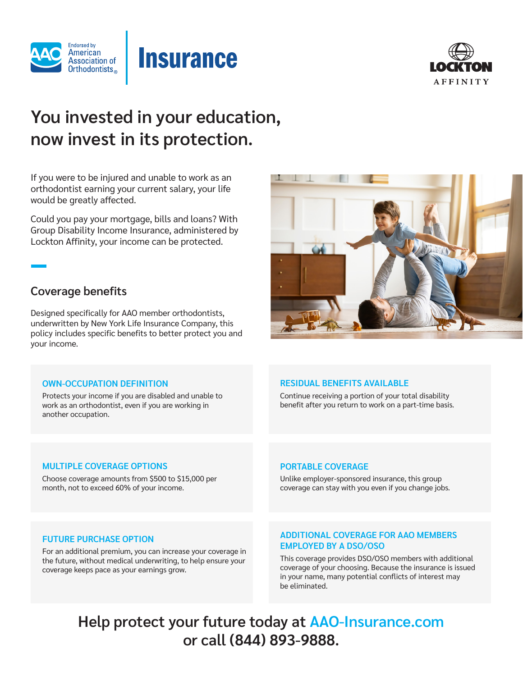



# **You invested in your education, now invest in its protection.**

**Insurance** 

If you were to be injured and unable to work as an orthodontist earning your current salary, your life would be greatly affected.

Could you pay your mortgage, bills and loans? With Group Disability Income Insurance, administered by Lockton Affinity, your income can be protected.

## **Coverage benefits**

Designed specifically for AAO member orthodontists, underwritten by New York Life Insurance Company, this policy includes specific benefits to better protect you and your income.

## **OWN-OCCUPATION DEFINITION**

Protects your income if you are disabled and unable to work as an orthodontist, even if you are working in another occupation.

## **RESIDUAL BENEFITS AVAILABLE**

Continue receiving a portion of your total disability benefit after you return to work on a part-time basis.

## **MULTIPLE COVERAGE OPTIONS**

Choose coverage amounts from \$500 to \$15,000 per month, not to exceed 60% of your income.

## **PORTABLE COVERAGE**

Unlike employer-sponsored insurance, this group coverage can stay with you even if you change jobs.

## **FUTURE PURCHASE OPTION**

For an additional premium, you can increase your coverage in the future, without medical underwriting, to help ensure your coverage keeps pace as your earnings grow.

## **ADDITIONAL COVERAGE FOR AAO MEMBERS EMPLOYED BY A DSO/OSO**

This coverage provides DSO/OSO members with additional coverage of your choosing. Because the insurance is issued in your name, many potential conflicts of interest may be eliminated.

**Help protect your future today at AAO-Insurance.com or call (844) 893-9888.** 

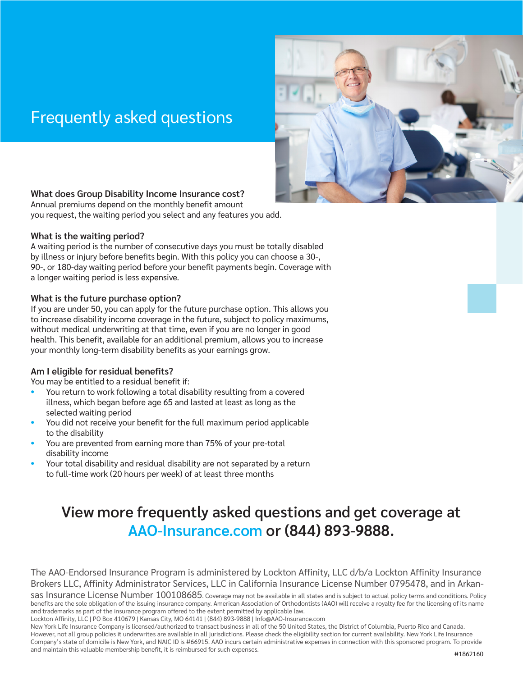## Frequently asked questions



## **What does Group Disability Income Insurance cost?**

Annual premiums depend on the monthly benefit amount you request, the waiting period you select and any features you add.

## **What is the waiting period?**

A waiting period is the number of consecutive days you must be totally disabled by illness or injury before benefits begin. With this policy you can choose a 30-, 90-, or 180-day waiting period before your benefit payments begin. Coverage with a longer waiting period is less expensive.

## **What is the future purchase option?**

If you are under 50, you can apply for the future purchase option. This allows you to increase disability income coverage in the future, subject to policy maximums, without medical underwriting at that time, even if you are no longer in good health. This benefit, available for an additional premium, allows you to increase your monthly long-term disability benefits as your earnings grow.

## **Am I eligible for residual benefits?**

You may be entitled to a residual benefit if:

- You return to work following a total disability resulting from a covered illness, which began before age 65 and lasted at least as long as the selected waiting period
- You did not receive your benefit for the full maximum period applicable to the disability
- You are prevented from earning more than 75% of your pre-total disability income
- Your total disability and residual disability are not separated by a return to full-time work (20 hours per week) of at least three months

## **View more frequently asked questions and get coverage at AAO-Insurance.com or (844) 893-9888.**

The AAO-Endorsed Insurance Program is administered by Lockton Affinity, LLC d/b/a Lockton Affinity Insurance Brokers LLC, Affinity Administrator Services, LLC in California Insurance License Number 0795478, and in Arkan-

sas Insurance License Number 100108685. Coverage may not be available in all states and is subject to actual policy terms and conditions. Policy benefits are the sole obligation of the issuing insurance company. American Association of Orthodontists (AAO) will receive a royalty fee for the licensing of its name and trademarks as part of the insurance program offered to the extent permitted by applicable law.

Lockton Affinity, LLC | PO Box 410679 | Kansas City, MO 64141 | (844) 893-9888 | Info@AAO-Insurance.com

New York Life Insurance Company is licensed/authorized to transact business in all of the 50 United States, the District of Columbia, Puerto Rico and Canada. However, not all group policies it underwrites are available in all jurisdictions. Please check the eligibility section for current availability. New York Life Insurance Company's state of domicile is New York, and NAIC ID is #66915. AAO incurs certain administrative expenses in connection with this sponsored program. To provide and maintain this valuable membership benefit, it is reimbursed for such expenses. #1862160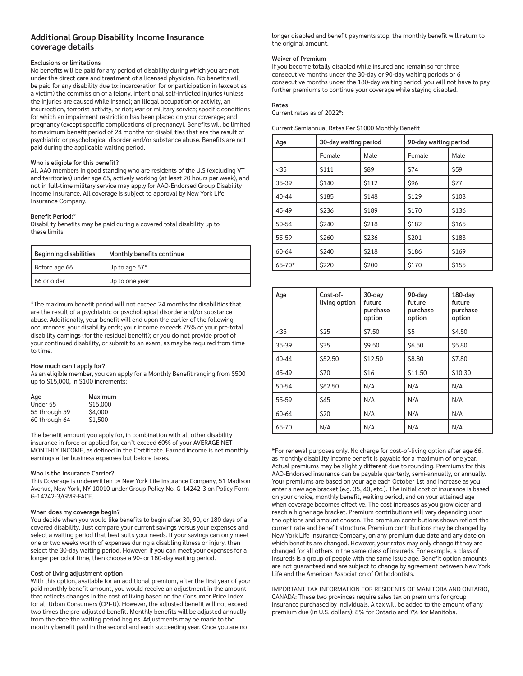## **Additional Group Disability Income Insurance coverage details**

#### **Exclusions or limitations**

No benefits will be paid for any period of disability during which you are not under the direct care and treatment of a licensed physician. No benefits will be paid for any disability due to: incarceration for or participation in (except as a victim) the commission of a felony, intentional self-inflicted injuries (unless the injuries are caused while insane); an illegal occupation or activity, an insurrection, terrorist activity, or riot; war or military service; specific conditions for which an impairment restriction has been placed on your coverage; and pregnancy (except specific complications of pregnancy). Benefits will be limited to maximum benefit period of 24 months for disabilities that are the result of psychiatric or psychological disorder and/or substance abuse. Benefits are not paid during the applicable waiting period.

#### **Who is eligible for this benefit?**

All AAO members in good standing who are residents of the U.S (excluding VT and territories) under age 65, actively working (at least 20 hours per week), and not in full-time military service may apply for AAO-Endorsed Group Disability Income Insurance. All coverage is subject to approval by New York Life Insurance Company.

#### **Benefit Period:\***

Disability benefits may be paid during a covered total disability up to these limits:

| <b>Beginning disabilities</b> | Monthly benefits continue |  |
|-------------------------------|---------------------------|--|
| Before age 66                 | Up to age $67*$           |  |
| 66 or older                   | Up to one year            |  |

\*The maximum benefit period will not exceed 24 months for disabilities that are the result of a psychiatric or psychological disorder and/or substance abuse. Additionally, your benefit will end upon the earlier of the following occurrences: your disability ends; your income exceeds 75% of your pre-total disability earnings (for the residual benefit); or you do not provide proof of your continued disability, or submit to an exam, as may be required from time to time.

#### **How much can I apply for?**

As an eligible member, you can apply for a Monthly Benefit ranging from \$500 up to \$15,000, in \$100 increments:

| Age           | Maximum  |
|---------------|----------|
| Under 55      | \$15,000 |
| 55 through 59 | \$4,000  |
| 60 through 64 | \$1,500  |

The benefit amount you apply for, in combination with all other disability insurance in force or applied for, can't exceed 60% of your AVERAGE NET MONTHLY INCOME, as defined in the Certificate. Earned income is net monthly earnings after business expenses but before taxes.

#### **Who is the Insurance Carrier?**

This Coverage is underwritten by New York Life Insurance Company, 51 Madison Avenue, New York, NY 10010 under Group Policy No. G-14242-3 on Policy Form G-14242-3/GMR-FACE.

#### **When does my coverage begin?**

You decide when you would like benefits to begin after 30, 90, or 180 days of a covered disability. Just compare your current savings versus your expenses and select a waiting period that best suits your needs. If your savings can only meet one or two weeks worth of expenses during a disabling illness or injury, then select the 30-day waiting period. However, if you can meet your expenses for a longer period of time, then choose a 90- or 180-day waiting period.

#### **Cost of living adjustment option**

With this option, available for an additional premium, after the first year of your paid monthly benefit amount, you would receive an adjustment in the amount that reflects changes in the cost of living based on the Consumer Price Index for all Urban Consumers (CPI-U). However, the adjusted benefit will not exceed two times the pre-adjusted benefit. Monthly benefits will be adjusted annually from the date the waiting period begins. Adjustments may be made to the monthly benefit paid in the second and each succeeding year. Once you are no

longer disabled and benefit payments stop, the monthly benefit will return to the original amount.

#### **Waiver of Premium**

If you become totally disabled while insured and remain so for three consecutive months under the 30-day or 90-day waiting periods or 6 consecutive months under the 180-day waiting period, you will not have to pay further premiums to continue your coverage while staying disabled.

#### **Rates**

Current rates as of 2022\*:

Current Semiannual Rates Per \$1000 Monthly Benefit

| Age        | 30-day waiting period |              | 90-day waiting period |             |
|------------|-----------------------|--------------|-----------------------|-------------|
|            | Female                | Male         | Female                | Male        |
| $<$ 35     | <b>S111</b>           | \$89         | <b>S74</b>            | <b>\$59</b> |
| 35-39      | \$140                 | <b>S112</b>  | \$96                  | \$77        |
| $40 - 44$  | \$185                 | <b>S148</b>  | \$129                 | \$103       |
| 45-49      | \$236                 | <b>S189</b>  | \$170                 | \$136       |
| 50-54      | \$240                 | \$218        | <b>S182</b>           | <b>S165</b> |
| 55-59      | \$260                 | \$236        | \$201                 | \$183       |
| $60 - 64$  | \$240                 | <b>\$218</b> | \$186                 | \$169       |
| $65 - 70*$ | \$220                 | \$200        | \$170                 | \$155       |

| Age       | Cost-of-<br>living option | 30-day<br>future<br>purchase<br>option | 90-day<br>future<br>purchase<br>option | $180$ -day<br>future<br>purchase<br>option |
|-----------|---------------------------|----------------------------------------|----------------------------------------|--------------------------------------------|
| $<$ 35    | \$25                      | \$7.50                                 | S <sub>5</sub>                         | \$4.50                                     |
| $35 - 39$ | \$35                      | \$9.50                                 | <b>S6.50</b>                           | \$5.80                                     |
| $40 - 44$ | \$52.50                   | \$12.50                                | \$8.80                                 | \$7.80                                     |
| 45-49     | \$70                      | \$16                                   | \$11.50                                | \$10.30                                    |
| 50-54     | \$62.50                   | N/A                                    | N/A                                    | N/A                                        |
| 55-59     | \$45                      | N/A                                    | N/A                                    | N/A                                        |
| 60-64     | \$20                      | N/A                                    | N/A                                    | N/A                                        |
| 65-70     | N/A                       | N/A                                    | N/A                                    | N/A                                        |

\*For renewal purposes only. No charge for cost-of-living option after age 66, as monthly disability income benefit is payable for a maximum of one year. Actual premiums may be slightly different due to rounding. Premiums for this AAO-Endorsed insurance can be payable quarterly, semi-annually, or annually. Your premiums are based on your age each October 1st and increase as you enter a new age bracket (e.g. 35, 40, etc.). The initial cost of insurance is based on your choice, monthly benefit, waiting period, and on your attained age when coverage becomes effective. The cost increases as you grow older and reach a higher age bracket. Premium contributions will vary depending upon the options and amount chosen. The premium contributions shown reflect the current rate and benefit structure. Premium contributions may be changed by New York Life Insurance Company, on any premium due date and any date on which benefits are changed. However, your rates may only change if they are changed for all others in the same class of insureds. For example, a class of insureds is a group of people with the same issue age. Benefit option amounts are not guaranteed and are subject to change by agreement between New York Life and the American Association of Orthodontists.

IMPORTANT TAX INFORMATION FOR RESIDENTS OF MANITOBA AND ONTARIO, CANADA: These two provinces require sales tax on premiums for group insurance purchased by individuals. A tax will be added to the amount of any premium due (in U.S. dollars): 8% for Ontario and 7% for Manitoba.